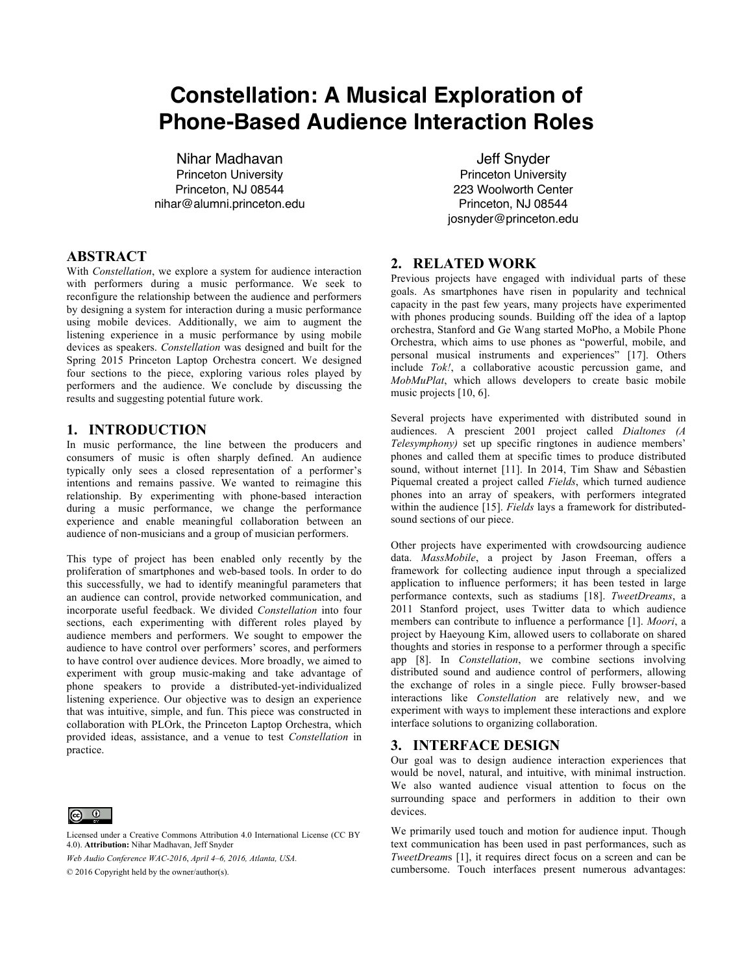# **Constellation: A Musical Exploration of Phone-Based Audience Interaction Roles**

Nihar Madhavan Princeton University Princeton, NJ 08544 nihar@alumni.princeton.edu

## **ABSTRACT**

With *Constellation*, we explore a system for audience interaction with performers during a music performance. We seek to reconfigure the relationship between the audience and performers by designing a system for interaction during a music performance using mobile devices. Additionally, we aim to augment the listening experience in a music performance by using mobile devices as speakers. *Constellation* was designed and built for the Spring 2015 Princeton Laptop Orchestra concert. We designed four sections to the piece, exploring various roles played by performers and the audience. We conclude by discussing the results and suggesting potential future work.

## **1. INTRODUCTION**

In music performance, the line between the producers and consumers of music is often sharply defined. An audience typically only sees a closed representation of a performer's intentions and remains passive. We wanted to reimagine this relationship. By experimenting with phone-based interaction during a music performance, we change the performance experience and enable meaningful collaboration between an audience of non-musicians and a group of musician performers.

This type of project has been enabled only recently by the proliferation of smartphones and web-based tools. In order to do this successfully, we had to identify meaningful parameters that an audience can control, provide networked communication, and incorporate useful feedback. We divided *Constellation* into four sections, each experimenting with different roles played by audience members and performers. We sought to empower the audience to have control over performers' scores, and performers to have control over audience devices. More broadly, we aimed to experiment with group music-making and take advantage of phone speakers to provide a distributed-yet-individualized listening experience. Our objective was to design an experience that was intuitive, simple, and fun. This piece was constructed in collaboration with PLOrk, the Princeton Laptop Orchestra, which provided ideas, assistance, and a venue to test *Constellation* in practice.



Licensed under a Creative Commons Attribution 4.0 International License (CC BY 4.0). **Attribution:** Nihar Madhavan, Jeff Snyder

*Web Audio Conference WAC-2016*, *April 4–6, 2016, Atlanta, USA.*

© 2016 Copyright held by the owner/author(s).

Jeff Snyder Princeton University 223 Woolworth Center Princeton, NJ 08544 josnyder@princeton.edu

# **2. RELATED WORK**

Previous projects have engaged with individual parts of these goals. As smartphones have risen in popularity and technical capacity in the past few years, many projects have experimented with phones producing sounds. Building off the idea of a laptop orchestra, Stanford and Ge Wang started MoPho, a Mobile Phone Orchestra, which aims to use phones as "powerful, mobile, and personal musical instruments and experiences" [17]. Others include *Tok!*, a collaborative acoustic percussion game, and *MobMuPlat*, which allows developers to create basic mobile music projects [10, 6].

Several projects have experimented with distributed sound in audiences. A prescient 2001 project called *Dialtones (A Telesymphony)* set up specific ringtones in audience members' phones and called them at specific times to produce distributed sound, without internet [11]. In 2014, Tim Shaw and Sébastien Piquemal created a project called *Fields*, which turned audience phones into an array of speakers, with performers integrated within the audience [15]. *Fields* lays a framework for distributedsound sections of our piece.

Other projects have experimented with crowdsourcing audience data. *MassMobile*, a project by Jason Freeman, offers a framework for collecting audience input through a specialized application to influence performers; it has been tested in large performance contexts, such as stadiums [18]. *TweetDreams*, a 2011 Stanford project, uses Twitter data to which audience members can contribute to influence a performance [1]. *Moori*, a project by Haeyoung Kim, allowed users to collaborate on shared thoughts and stories in response to a performer through a specific app [8]. In *Constellation*, we combine sections involving distributed sound and audience control of performers, allowing the exchange of roles in a single piece. Fully browser-based interactions like *Constellation* are relatively new, and we experiment with ways to implement these interactions and explore interface solutions to organizing collaboration.

## **3. INTERFACE DESIGN**

Our goal was to design audience interaction experiences that would be novel, natural, and intuitive, with minimal instruction. We also wanted audience visual attention to focus on the surrounding space and performers in addition to their own devices.

We primarily used touch and motion for audience input. Though text communication has been used in past performances, such as *TweetDream*s [1], it requires direct focus on a screen and can be cumbersome. Touch interfaces present numerous advantages: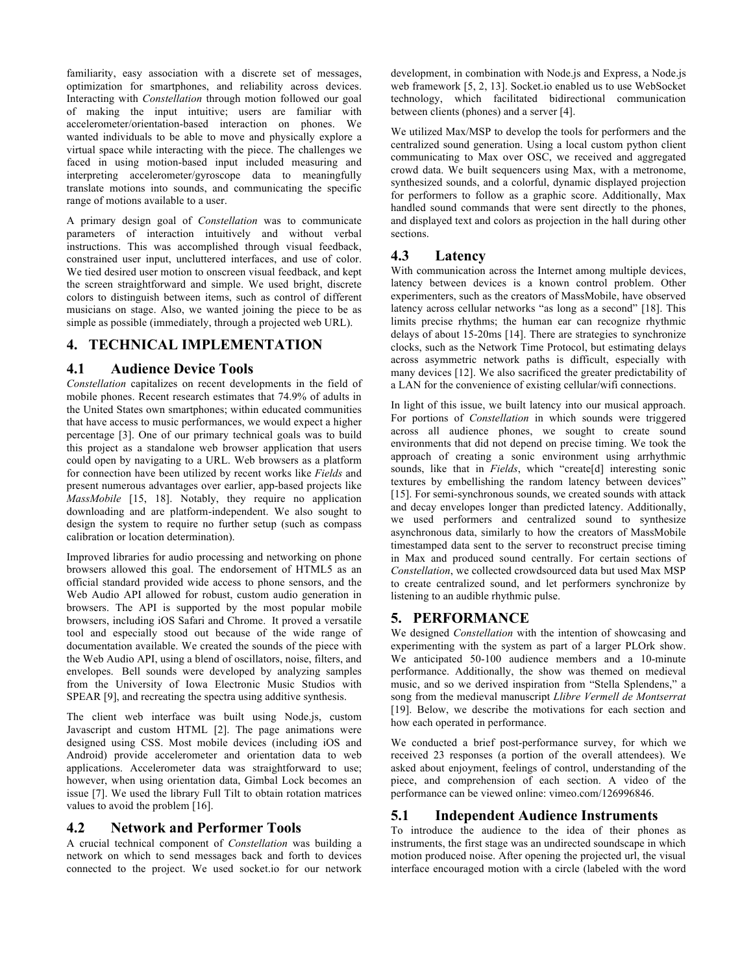familiarity, easy association with a discrete set of messages, optimization for smartphones, and reliability across devices. Interacting with *Constellation* through motion followed our goal of making the input intuitive; users are familiar with accelerometer/orientation-based interaction on phones. We wanted individuals to be able to move and physically explore a virtual space while interacting with the piece. The challenges we faced in using motion-based input included measuring and interpreting accelerometer/gyroscope data to meaningfully translate motions into sounds, and communicating the specific range of motions available to a user.

A primary design goal of *Constellation* was to communicate parameters of interaction intuitively and without verbal instructions. This was accomplished through visual feedback, constrained user input, uncluttered interfaces, and use of color. We tied desired user motion to onscreen visual feedback, and kept the screen straightforward and simple. We used bright, discrete colors to distinguish between items, such as control of different musicians on stage. Also, we wanted joining the piece to be as simple as possible (immediately, through a projected web URL).

# **4. TECHNICAL IMPLEMENTATION**

## **4.1 Audience Device Tools**

*Constellation* capitalizes on recent developments in the field of mobile phones. Recent research estimates that 74.9% of adults in the United States own smartphones; within educated communities that have access to music performances, we would expect a higher percentage [3]. One of our primary technical goals was to build this project as a standalone web browser application that users could open by navigating to a URL. Web browsers as a platform for connection have been utilized by recent works like *Fields* and present numerous advantages over earlier, app-based projects like *MassMobile* [15, 18]. Notably, they require no application downloading and are platform-independent. We also sought to design the system to require no further setup (such as compass calibration or location determination).

Improved libraries for audio processing and networking on phone browsers allowed this goal. The endorsement of HTML5 as an official standard provided wide access to phone sensors, and the Web Audio API allowed for robust, custom audio generation in browsers. The API is supported by the most popular mobile browsers, including iOS Safari and Chrome. It proved a versatile tool and especially stood out because of the wide range of documentation available. We created the sounds of the piece with the Web Audio API, using a blend of oscillators, noise, filters, and envelopes. Bell sounds were developed by analyzing samples from the University of Iowa Electronic Music Studios with SPEAR [9], and recreating the spectra using additive synthesis.

The client web interface was built using Node.js, custom Javascript and custom HTML [2]. The page animations were designed using CSS. Most mobile devices (including iOS and Android) provide accelerometer and orientation data to web applications. Accelerometer data was straightforward to use; however, when using orientation data, Gimbal Lock becomes an issue [7]. We used the library Full Tilt to obtain rotation matrices values to avoid the problem [16].

## **4.2 Network and Performer Tools**

A crucial technical component of *Constellation* was building a network on which to send messages back and forth to devices connected to the project. We used socket.io for our network development, in combination with Node.js and Express, a Node.js web framework [5, 2, 13]. Socket.io enabled us to use WebSocket technology, which facilitated bidirectional communication between clients (phones) and a server [4].

We utilized Max/MSP to develop the tools for performers and the centralized sound generation. Using a local custom python client communicating to Max over OSC, we received and aggregated crowd data. We built sequencers using Max, with a metronome, synthesized sounds, and a colorful, dynamic displayed projection for performers to follow as a graphic score. Additionally, Max handled sound commands that were sent directly to the phones, and displayed text and colors as projection in the hall during other sections.

# **4.3 Latency**

With communication across the Internet among multiple devices, latency between devices is a known control problem. Other experimenters, such as the creators of MassMobile, have observed latency across cellular networks "as long as a second" [18]. This limits precise rhythms; the human ear can recognize rhythmic delays of about 15-20ms [14]. There are strategies to synchronize clocks, such as the Network Time Protocol, but estimating delays across asymmetric network paths is difficult, especially with many devices [12]. We also sacrificed the greater predictability of a LAN for the convenience of existing cellular/wifi connections.

In light of this issue, we built latency into our musical approach. For portions of *Constellation* in which sounds were triggered across all audience phones, we sought to create sound environments that did not depend on precise timing. We took the approach of creating a sonic environment using arrhythmic sounds, like that in *Fields*, which "create[d] interesting sonic textures by embellishing the random latency between devices" [15]. For semi-synchronous sounds, we created sounds with attack and decay envelopes longer than predicted latency. Additionally, we used performers and centralized sound to synthesize asynchronous data, similarly to how the creators of MassMobile timestamped data sent to the server to reconstruct precise timing in Max and produced sound centrally. For certain sections of *Constellation*, we collected crowdsourced data but used Max MSP to create centralized sound, and let performers synchronize by listening to an audible rhythmic pulse.

# **5. PERFORMANCE**

We designed *Constellation* with the intention of showcasing and experimenting with the system as part of a larger PLOrk show. We anticipated 50-100 audience members and a 10-minute performance. Additionally, the show was themed on medieval music, and so we derived inspiration from "Stella Splendens," a song from the medieval manuscript *Llibre Vermell de Montserrat* [19]. Below, we describe the motivations for each section and how each operated in performance.

We conducted a brief post-performance survey, for which we received 23 responses (a portion of the overall attendees). We asked about enjoyment, feelings of control, understanding of the piece, and comprehension of each section. A video of the performance can be viewed online: vimeo.com/126996846.

## **5.1 Independent Audience Instruments**

To introduce the audience to the idea of their phones as instruments, the first stage was an undirected soundscape in which motion produced noise. After opening the projected url, the visual interface encouraged motion with a circle (labeled with the word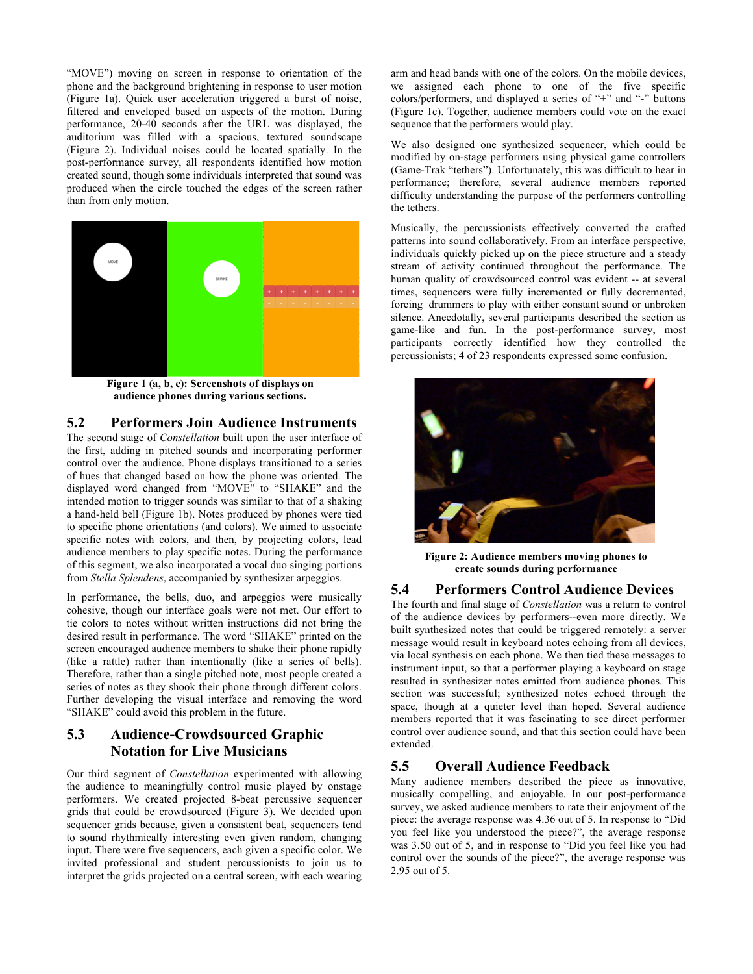"MOVE") moving on screen in response to orientation of the phone and the background brightening in response to user motion (Figure 1a). Quick user acceleration triggered a burst of noise, filtered and enveloped based on aspects of the motion. During performance, 20-40 seconds after the URL was displayed, the auditorium was filled with a spacious, textured soundscape (Figure 2). Individual noises could be located spatially. In the post-performance survey, all respondents identified how motion created sound, though some individuals interpreted that sound was produced when the circle touched the edges of the screen rather than from only motion.



**Figure 1 (a, b, c): Screenshots of displays on audience phones during various sections.**

## **5.2 Performers Join Audience Instruments**

The second stage of *Constellation* built upon the user interface of the first, adding in pitched sounds and incorporating performer control over the audience. Phone displays transitioned to a series of hues that changed based on how the phone was oriented. The displayed word changed from "MOVE" to "SHAKE" and the intended motion to trigger sounds was similar to that of a shaking a hand-held bell (Figure 1b). Notes produced by phones were tied to specific phone orientations (and colors). We aimed to associate specific notes with colors, and then, by projecting colors, lead audience members to play specific notes. During the performance of this segment, we also incorporated a vocal duo singing portions from *Stella Splendens*, accompanied by synthesizer arpeggios.

In performance, the bells, duo, and arpeggios were musically cohesive, though our interface goals were not met. Our effort to tie colors to notes without written instructions did not bring the desired result in performance. The word "SHAKE" printed on the screen encouraged audience members to shake their phone rapidly (like a rattle) rather than intentionally (like a series of bells). Therefore, rather than a single pitched note, most people created a series of notes as they shook their phone through different colors. Further developing the visual interface and removing the word "SHAKE" could avoid this problem in the future.

# **5.3 Audience-Crowdsourced Graphic Notation for Live Musicians**

Our third segment of *Constellation* experimented with allowing the audience to meaningfully control music played by onstage performers. We created projected 8-beat percussive sequencer grids that could be crowdsourced (Figure 3). We decided upon sequencer grids because, given a consistent beat, sequencers tend to sound rhythmically interesting even given random, changing input. There were five sequencers, each given a specific color. We invited professional and student percussionists to join us to interpret the grids projected on a central screen, with each wearing arm and head bands with one of the colors. On the mobile devices, we assigned each phone to one of the five specific colors/performers, and displayed a series of "+" and "-" buttons (Figure 1c). Together, audience members could vote on the exact sequence that the performers would play.

We also designed one synthesized sequencer, which could be modified by on-stage performers using physical game controllers (Game-Trak "tethers"). Unfortunately, this was difficult to hear in performance; therefore, several audience members reported difficulty understanding the purpose of the performers controlling the tethers.

Musically, the percussionists effectively converted the crafted patterns into sound collaboratively. From an interface perspective, individuals quickly picked up on the piece structure and a steady stream of activity continued throughout the performance. The human quality of crowdsourced control was evident -- at several times, sequencers were fully incremented or fully decremented, forcing drummers to play with either constant sound or unbroken silence. Anecdotally, several participants described the section as game-like and fun. In the post-performance survey, most participants correctly identified how they controlled the percussionists; 4 of 23 respondents expressed some confusion.



**Figure 2: Audience members moving phones to create sounds during performance**

## **5.4 Performers Control Audience Devices**

The fourth and final stage of *Constellation* was a return to control of the audience devices by performers--even more directly. We built synthesized notes that could be triggered remotely: a server message would result in keyboard notes echoing from all devices, via local synthesis on each phone. We then tied these messages to instrument input, so that a performer playing a keyboard on stage resulted in synthesizer notes emitted from audience phones. This section was successful; synthesized notes echoed through the space, though at a quieter level than hoped. Several audience members reported that it was fascinating to see direct performer control over audience sound, and that this section could have been extended.

## **5.5 Overall Audience Feedback**

Many audience members described the piece as innovative, musically compelling, and enjoyable. In our post-performance survey, we asked audience members to rate their enjoyment of the piece: the average response was 4.36 out of 5. In response to "Did you feel like you understood the piece?", the average response was 3.50 out of 5, and in response to "Did you feel like you had control over the sounds of the piece?", the average response was 2.95 out of 5.